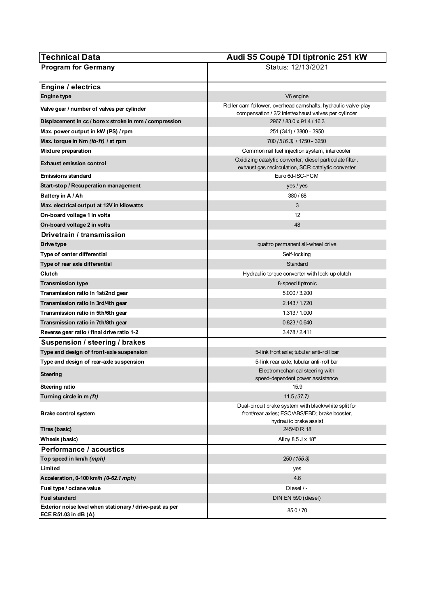| <b>Technical Data</b>                                                            | Audi S5 Coupé TDI tiptronic 251 kW                                                                                              |
|----------------------------------------------------------------------------------|---------------------------------------------------------------------------------------------------------------------------------|
| <b>Program for Germany</b>                                                       | Status: 12/13/2021                                                                                                              |
|                                                                                  |                                                                                                                                 |
| Engine / electrics                                                               |                                                                                                                                 |
| <b>Engine type</b>                                                               | V6 engine                                                                                                                       |
| Valve gear / number of valves per cylinder                                       | Roller cam follower, overhead camshafts, hydraulic valve-play<br>compensation / 2/2 inlet/exhaust valves per cylinder           |
| Displacement in cc / bore x stroke in mm / compression                           | 2967 / 83.0 x 91.4 / 16.3                                                                                                       |
| Max. power output in kW (PS) / rpm                                               | 251 (341) / 3800 - 3950                                                                                                         |
| Max. torque in Nm (lb-ft) / at rpm                                               | 700 (516.3) / 1750 - 3250                                                                                                       |
| <b>Mixture preparation</b>                                                       | Common rail fuel injection system, intercooler                                                                                  |
| <b>Exhaust emission control</b>                                                  | Oxidizing catalytic converter, diesel particulate filter,<br>exhaust gas recirculation, SCR catalytic converter                 |
| <b>Emissions standard</b>                                                        | Euro 6d-ISC-FCM                                                                                                                 |
| Start-stop / Recuperation management                                             | yes / yes                                                                                                                       |
| Battery in A / Ah                                                                | 380/68                                                                                                                          |
| Max. electrical output at 12V in kilowatts                                       | 3                                                                                                                               |
| On-board voltage 1 in volts                                                      | 12                                                                                                                              |
| On-board voltage 2 in volts                                                      | 48                                                                                                                              |
| Drivetrain / transmission                                                        |                                                                                                                                 |
| Drive type                                                                       | quattro permanent all-wheel drive                                                                                               |
| Type of center differential                                                      | Self-locking                                                                                                                    |
| Type of rear axle differential                                                   | Standard                                                                                                                        |
| Clutch                                                                           | Hydraulic torque converter with lock-up clutch                                                                                  |
| Transmission type                                                                | 8-speed tiptronic                                                                                                               |
| Transmission ratio in 1st/2nd gear                                               | 5.000 / 3.200                                                                                                                   |
| Transmission ratio in 3rd/4th gear                                               | 2.143 / 1.720                                                                                                                   |
| Transmission ratio in 5th/6th gear                                               | 1.313 / 1.000                                                                                                                   |
| Transmission ratio in 7th/8th gear                                               | 0.823/0.640                                                                                                                     |
| Reverse gear ratio / final drive ratio 1-2                                       | 3.478 / 2.411                                                                                                                   |
| Suspension / steering / brakes                                                   |                                                                                                                                 |
| Type and design of front-axle suspension                                         | 5-link front axle; tubular anti-roll bar                                                                                        |
| Type and design of rear-axle suspension                                          | 5-link rear axle; tubular anti-roll bar                                                                                         |
| <b>Steering</b>                                                                  | Electromechanical steering with<br>speed-dependent power assistance                                                             |
| Steering ratio                                                                   | 15.9                                                                                                                            |
| Turning circle in m (ft)                                                         | 11.5(37.7)                                                                                                                      |
| <b>Brake control system</b>                                                      | Dual-circuit brake system with black/white split for<br>front/rear axles; ESC/ABS/EBD; brake booster,<br>hydraulic brake assist |
| Tires (basic)                                                                    | 245/40 R 18                                                                                                                     |
| Wheels (basic)                                                                   | Alloy 8.5 J x 18"                                                                                                               |
| Performance / acoustics                                                          |                                                                                                                                 |
| Top speed in km/h (mph)                                                          | 250 (155.3)                                                                                                                     |
| Limited                                                                          | yes                                                                                                                             |
| Acceleration, 0-100 km/h (0-62.1 mph)                                            | 4.6                                                                                                                             |
| Fuel type / octane value                                                         | Diesel / -                                                                                                                      |
| <b>Fuel standard</b>                                                             | DIN EN 590 (diesel)                                                                                                             |
| Exterior noise level when stationary / drive-past as per<br>ECE R51.03 in dB (A) | 85.0 / 70                                                                                                                       |